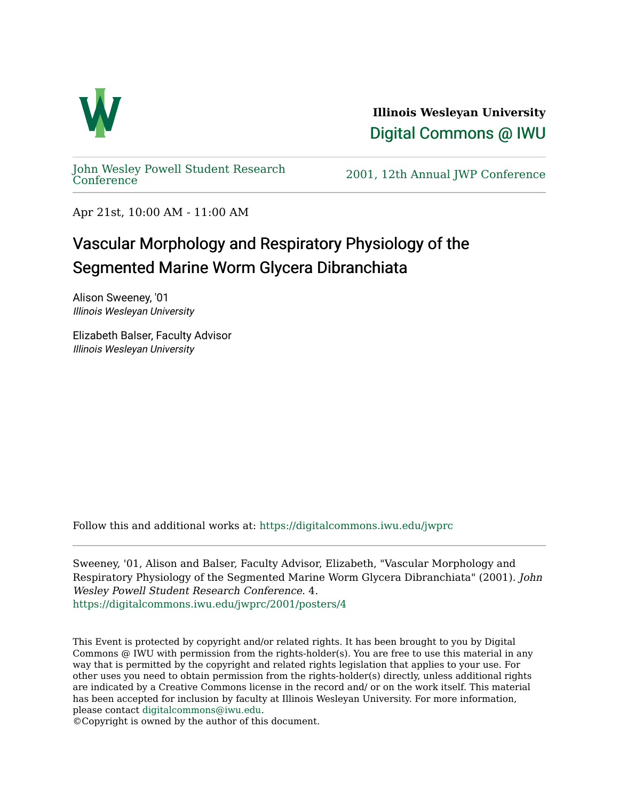

**Illinois Wesleyan University**  [Digital Commons @ IWU](https://digitalcommons.iwu.edu/) 

[John Wesley Powell Student Research](https://digitalcommons.iwu.edu/jwprc) 

2001, 12th Annual JWP [Conference](https://digitalcommons.iwu.edu/jwprc)

Apr 21st, 10:00 AM - 11:00 AM

## Vascular Morphology and Respiratory Physiology of the Segmented Marine Worm Glycera Dibranchiata

Alison Sweeney, '01 Illinois Wesleyan University

Elizabeth Balser, Faculty Advisor Illinois Wesleyan University

Follow this and additional works at: [https://digitalcommons.iwu.edu/jwprc](https://digitalcommons.iwu.edu/jwprc?utm_source=digitalcommons.iwu.edu%2Fjwprc%2F2001%2Fposters%2F4&utm_medium=PDF&utm_campaign=PDFCoverPages) 

Sweeney, '01, Alison and Balser, Faculty Advisor, Elizabeth, "Vascular Morphology and Respiratory Physiology of the Segmented Marine Worm Glycera Dibranchiata" (2001). John Wesley Powell Student Research Conference. 4. [https://digitalcommons.iwu.edu/jwprc/2001/posters/4](https://digitalcommons.iwu.edu/jwprc/2001/posters/4?utm_source=digitalcommons.iwu.edu%2Fjwprc%2F2001%2Fposters%2F4&utm_medium=PDF&utm_campaign=PDFCoverPages) 

This Event is protected by copyright and/or related rights. It has been brought to you by Digital Commons @ IWU with permission from the rights-holder(s). You are free to use this material in any way that is permitted by the copyright and related rights legislation that applies to your use. For other uses you need to obtain permission from the rights-holder(s) directly, unless additional rights are indicated by a Creative Commons license in the record and/ or on the work itself. This material has been accepted for inclusion by faculty at Illinois Wesleyan University. For more information, please contact [digitalcommons@iwu.edu.](mailto:digitalcommons@iwu.edu)

©Copyright is owned by the author of this document.